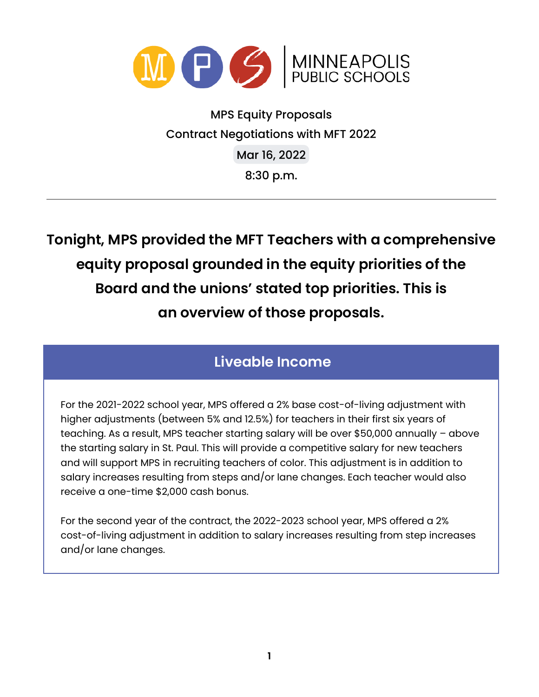

MPS Equity Proposals Contract Negotiations with MFT 2022 Mar 16, 2022 8:30 p.m.

**Tonight, MPS provided the MFT Teachers with a comprehensive equity proposal grounded in the equity priorities of the Board and the unions' stated top priorities. This is an overview of those proposals.**

## **Liveable Income**

For the 2021-2022 school year, MPS offered a 2% base cost-of-living adjustment with higher adjustments (between 5% and 12.5%) for teachers in their first six years of teaching. As a result, MPS teacher starting salary will be over \$50,000 annually – above the starting salary in St. Paul. This will provide a competitive salary for new teachers and will support MPS in recruiting teachers of color. This adjustment is in addition to salary increases resulting from steps and/or lane changes. Each teacher would also receive a one-time \$2,000 cash bonus.

For the second year of the contract, the 2022-2023 school year, MPS offered a 2% cost-of-living adjustment in addition to salary increases resulting from step increases and/or lane changes.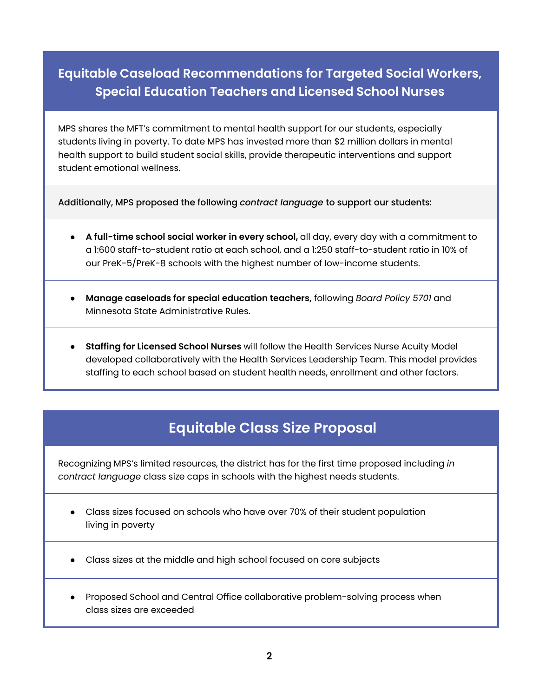## **Equitable Caseload Recommendations for Targeted Social Workers, Special Education Teachers and Licensed School Nurses**

MPS shares the MFT's commitment to mental health support for our students, especially students living in poverty. To date MPS has invested more than \$2 million dollars in mental health support to build student social skills, provide therapeutic interventions and support student emotional wellness.

Additionally, MPS proposed the following *contract language* to support our students*:*

- **A full-time school social worker in every school,** all day, every day with a commitment to a 1:600 staff-to-student ratio at each school, and a 1:250 staff-to-student ratio in 10% of our PreK-5/PreK-8 schools with the highest number of low-income students.
- **Manage caseloads for special education teachers,** following *Board Policy 5701* and Minnesota State Administrative Rules.
- **Staffing for Licensed School Nurses** will follow the Health Services Nurse Acuity Model developed collaboratively with the Health Services Leadership Team. This model provides staffing to each school based on student health needs, enrollment and other factors.

# **Equitable Class Size Proposal**

Recognizing MPS's limited resources, the district has for the first time proposed including *in contract language* class size caps in schools with the highest needs students.

- Class sizes focused on schools who have over 70% of their student population living in poverty
- Class sizes at the middle and high school focused on core subjects
- Proposed School and Central Office collaborative problem-solving process when class sizes are exceeded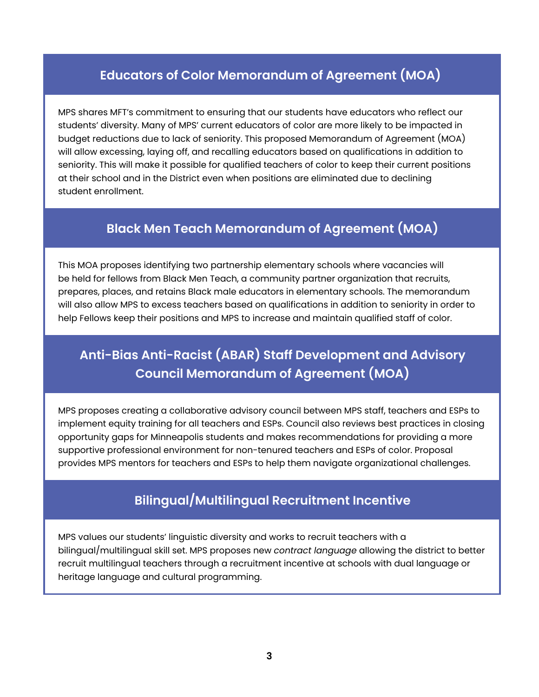### **Educators of Color Memorandum of Agreement (MOA)**

MPS shares MFT's commitment to ensuring that our students have educators who reflect our students' diversity. Many of MPS' current educators of color are more likely to be impacted in budget reductions due to lack of seniority. This proposed Memorandum of Agreement (MOA) will allow excessing, laying off, and recalling educators based on qualifications in addition to seniority. This will make it possible for qualified teachers of color to keep their current positions at their school and in the District even when positions are eliminated due to declining student enrollment.

#### **Black Men Teach Memorandum of Agreement (MOA)**

This MOA proposes identifying two partnership elementary schools where vacancies will be held for fellows from Black Men Teach, a community partner organization that recruits, prepares, places, and retains Black male educators in elementary schools. The memorandum will also allow MPS to excess teachers based on qualifications in addition to seniority in order to help Fellows keep their positions and MPS to increase and maintain qualified staff of color.

# **Anti-Bias Anti-Racist (ABAR) Staff Development and Advisory Council Memorandum of Agreement (MOA)**

MPS proposes creating a collaborative advisory council between MPS staff, teachers and ESPs to implement equity training for all teachers and ESPs. Council also reviews best practices in closing opportunity gaps for Minneapolis students and makes recommendations for providing a more supportive professional environment for non-tenured teachers and ESPs of color. Proposal provides MPS mentors for teachers and ESPs to help them navigate organizational challenges.

### **Bilingual/Multilingual Recruitment Incentive**

MPS values our students' linguistic diversity and works to recruit teachers with a bilingual/multilingual skill set. MPS proposes new *contract language* allowing the district to better recruit multilingual teachers through a recruitment incentive at schools with dual language or heritage language and cultural programming.